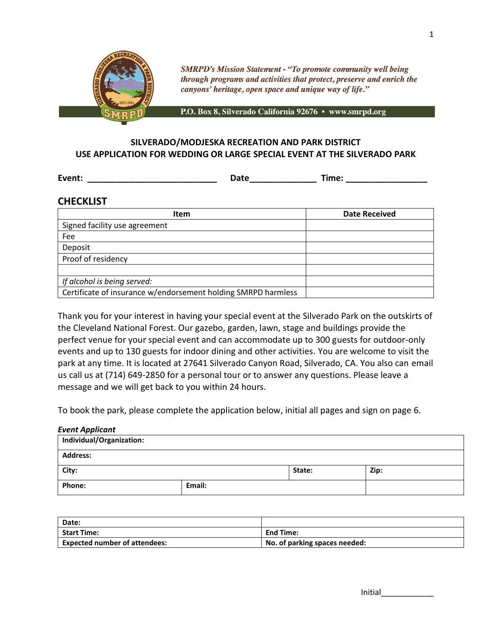

**SMRPD's Mission Statement - "To promote community well being** through programs and activities that protect, preserve and enrich the canyons' heritage, open space and unique way of life."

P.O. Box 8, Silverado California 92676 · www.smrpd.org

# **SILVERADO/MODJESKA RECREATION AND PARK DISTRICT USE APPLICATION FOR WEDDING OR LARGE SPECIAL EVENT AT THE SILVERADO PARK**

**Event: Exercise Exercise Exercise Exercise Contract Properties Exercise Contract Properties Contract Properties** 

# **CHECKLIST**

| <b>Item</b>                                                   | <b>Date Received</b> |
|---------------------------------------------------------------|----------------------|
| Signed facility use agreement                                 |                      |
| Fee                                                           |                      |
| Deposit                                                       |                      |
| Proof of residency                                            |                      |
|                                                               |                      |
| If alcohol is being served:                                   |                      |
| Certificate of insurance w/endorsement holding SMRPD harmless |                      |

Thank you for your interest in having your special event at the Silverado Park on the outskirts of the Cleveland National Forest. Our gazebo, garden, lawn, stage and buildings provide the perfect venue for your special event and can accommodate up to 300 guests for outdoor-only events and up to 130 guests for indoor dining and other activities. You are welcome to visit the park at any time. It is located at 27641 Silverado Canyon Road, Silverado, CA. You also can email us call us at (714) 649-2850 for a personal tour or to answer any questions. Please leave a message and we will get back to you within 24 hours.

To book the park, please complete the application below, initial all pages and sign on page 6.

# *Event Applicant* **Individual/Organization: Address: City: State: Zip:** Phone: **Email:**

| Date:                                |                               |
|--------------------------------------|-------------------------------|
| <b>Start Time:</b>                   | <b>End Time:</b>              |
| <b>Expected number of attendees:</b> | No. of parking spaces needed: |

|  | Initial |  |  |  |  |  |
|--|---------|--|--|--|--|--|
|  |         |  |  |  |  |  |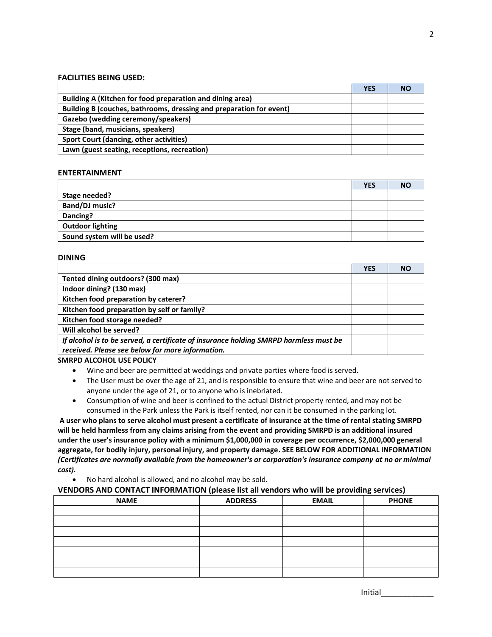#### **FACILITIES BEING USED:**

|                                                                     | <b>YES</b> | <b>NO</b> |
|---------------------------------------------------------------------|------------|-----------|
| Building A (Kitchen for food preparation and dining area)           |            |           |
| Building B (couches, bathrooms, dressing and preparation for event) |            |           |
| Gazebo (wedding ceremony/speakers)                                  |            |           |
| Stage (band, musicians, speakers)                                   |            |           |
| <b>Sport Court (dancing, other activities)</b>                      |            |           |
| Lawn (guest seating, receptions, recreation)                        |            |           |

# **ENTERTAINMENT**

|                            | <b>YES</b> | <b>NO</b> |
|----------------------------|------------|-----------|
| Stage needed?              |            |           |
| Band/DJ music?             |            |           |
| Dancing?                   |            |           |
| <b>Outdoor lighting</b>    |            |           |
| Sound system will be used? |            |           |

#### **DINING**

|                                                                                       | <b>YES</b> | <b>NO</b> |
|---------------------------------------------------------------------------------------|------------|-----------|
| Tented dining outdoors? (300 max)                                                     |            |           |
| Indoor dining? (130 max)                                                              |            |           |
| Kitchen food preparation by caterer?                                                  |            |           |
| Kitchen food preparation by self or family?                                           |            |           |
| Kitchen food storage needed?                                                          |            |           |
| Will alcohol be served?                                                               |            |           |
| If alcohol is to be served, a certificate of insurance holding SMRPD harmless must be |            |           |
| received. Please see below for more information.                                      |            |           |
| CRADDD ALCOHOL HCE DOHCY                                                              |            |           |

**SMRPD ALCOHOL USE POLICY**

- Wine and beer are permitted at weddings and private parties where food is served.
- The User must be over the age of 21, and is responsible to ensure that wine and beer are not served to anyone under the age of 21, or to anyone who is inebriated.
- Consumption of wine and beer is confined to the actual District property rented, and may not be consumed in the Park unless the Park is itself rented, nor can it be consumed in the parking lot.

**A user who plans to serve alcohol must present a certificate of insurance at the time of rental stating SMRPD will be held harmless from any claims arising from the event and providing SMRPD is an additional insured under the user's insurance policy with a minimum \$1,000,000 in coverage per occurrence, \$2,000,000 general aggregate, for bodily injury, personal injury, and property damage. SEE BELOW FOR ADDITIONAL INFORMATION** *(Certificates are normally available from the homeowner's or corporation's insurance company at no or minimal cost).*

• No hard alcohol is allowed, and no alcohol may be sold.

## **VENDORS AND CONTACT INFORMATION (please list all vendors who will be providing services)**

|             | --             | . .          | <u>in the company of the company of the company of the company of the company of the company of the company of the company of the company of the company of the company of the company of the company of the company of the comp</u><br>$\overline{\phantom{a}}$ |
|-------------|----------------|--------------|------------------------------------------------------------------------------------------------------------------------------------------------------------------------------------------------------------------------------------------------------------------|
| <b>NAME</b> | <b>ADDRESS</b> | <b>EMAIL</b> | <b>PHONE</b>                                                                                                                                                                                                                                                     |
|             |                |              |                                                                                                                                                                                                                                                                  |
|             |                |              |                                                                                                                                                                                                                                                                  |
|             |                |              |                                                                                                                                                                                                                                                                  |
|             |                |              |                                                                                                                                                                                                                                                                  |
|             |                |              |                                                                                                                                                                                                                                                                  |
|             |                |              |                                                                                                                                                                                                                                                                  |
|             |                |              |                                                                                                                                                                                                                                                                  |

|  | Initial |  |  |  |  |  |
|--|---------|--|--|--|--|--|
|  |         |  |  |  |  |  |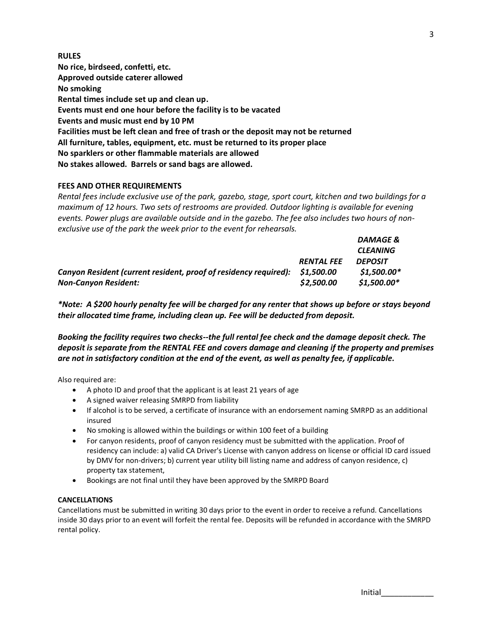| <b>RULES</b>                                                                       |
|------------------------------------------------------------------------------------|
| No rice, birdseed, confetti, etc.                                                  |
| Approved outside caterer allowed                                                   |
| No smoking                                                                         |
| Rental times include set up and clean up.                                          |
| Events must end one hour before the facility is to be vacated                      |
| Events and music must end by 10 PM                                                 |
| Facilities must be left clean and free of trash or the deposit may not be returned |
| All furniture, tables, equipment, etc. must be returned to its proper place        |
| No sparklers or other flammable materials are allowed                              |
| No stakes allowed. Barrels or sand bags are allowed.                               |

# **FEES AND OTHER REQUIREMENTS**

*Rental fees include exclusive use of the park, gazebo, stage, sport court, kitchen and two buildings for a maximum of 12 hours. Two sets of restrooms are provided. Outdoor lighting is available for evening events. Power plugs are available outside and in the gazebo. The fee also includes two hours of nonexclusive use of the park the week prior to the event for rehearsals.* 

|                                                                             |                   | <b>DAMAGE &amp;</b> |
|-----------------------------------------------------------------------------|-------------------|---------------------|
|                                                                             |                   | <b>CLEANING</b>     |
|                                                                             | <b>RENTAL FEE</b> | <b>DEPOSIT</b>      |
| Canyon Resident (current resident, proof of residency required): \$1,500.00 |                   | $$1,500.00*$        |
| <b>Non-Canyon Resident:</b>                                                 | \$2,500.00        | $$1,500.00*$        |

*\*Note: A \$200 hourly penalty fee will be charged for any renter that shows up before or stays beyond their allocated time frame, including clean up. Fee will be deducted from deposit.*

*Booking the facility requires two checks--the full rental fee check and the damage deposit check. The deposit is separate from the RENTAL FEE and covers damage and cleaning if the property and premises are not in satisfactory condition at the end of the event, as well as penalty fee, if applicable.*

Also required are:

- A photo ID and proof that the applicant is at least 21 years of age
- A signed waiver releasing SMRPD from liability
- If alcohol is to be served, a certificate of insurance with an endorsement naming SMRPD as an additional insured
- No smoking is allowed within the buildings or within 100 feet of a building
- For canyon residents, proof of canyon residency must be submitted with the application. Proof of residency can include: a) valid CA Driver's License with canyon address on license or official ID card issued by DMV for non-drivers; b) current year utility bill listing name and address of canyon residence, c) property tax statement,
- Bookings are not final until they have been approved by the SMRPD Board

## **CANCELLATIONS**

Cancellations must be submitted in writing 30 days prior to the event in order to receive a refund. Cancellations inside 30 days prior to an event will forfeit the rental fee. Deposits will be refunded in accordance with the SMRPD rental policy.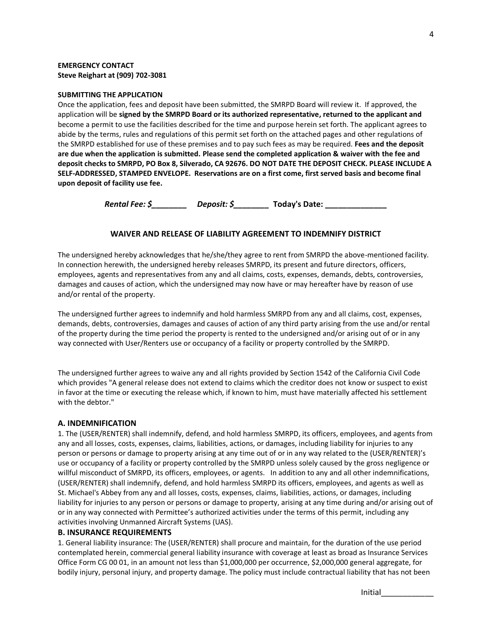#### **EMERGENCY CONTACT Steve Reighart at (909) 702-3081**

#### **SUBMITTING THE APPLICATION**

Once the application, fees and deposit have been submitted, the SMRPD Board will review it. If approved, the application will be **signed by the SMRPD Board or its authorized representative, returned to the applicant and**  become a permit to use the facilities described for the time and purpose herein set forth. The applicant agrees to abide by the terms, rules and regulations of this permit set forth on the attached pages and other regulations of the SMRPD established for use of these premises and to pay such fees as may be required. **Fees and the deposit are due when the application is submitted. Please send the completed application & waiver with the fee and deposit checks to SMRPD, PO Box 8, Silverado, CA 92676. DO NOT DATE THE DEPOSIT CHECK. PLEASE INCLUDE A SELF-ADDRESSED, STAMPED ENVELOPE. Reservations are on a first come, first served basis and become final upon deposit of facility use fee.**

*Rental Fee: \$ Deposit: \$* Today's Date:

#### **WAIVER AND RELEASE OF LIABILITY AGREEMENT TO INDEMNIFY DISTRICT**

The undersigned hereby acknowledges that he/she/they agree to rent from SMRPD the above-mentioned facility. In connection herewith, the undersigned hereby releases SMRPD, its present and future directors, officers, employees, agents and representatives from any and all claims, costs, expenses, demands, debts, controversies, damages and causes of action, which the undersigned may now have or may hereafter have by reason of use and/or rental of the property.

The undersigned further agrees to indemnify and hold harmless SMRPD from any and all claims, cost, expenses, demands, debts, controversies, damages and causes of action of any third party arising from the use and/or rental of the property during the time period the property is rented to the undersigned and/or arising out of or in any way connected with User/Renters use or occupancy of a facility or property controlled by the SMRPD.

The undersigned further agrees to waive any and all rights provided by Section 1542 of the California Civil Code which provides "A general release does not extend to claims which the creditor does not know or suspect to exist in favor at the time or executing the release which, if known to him, must have materially affected his settlement with the debtor."

#### **A. INDEMNIFICATION**

1. The (USER/RENTER) shall indemnify, defend, and hold harmless SMRPD, its officers, employees, and agents from any and all losses, costs, expenses, claims, liabilities, actions, or damages, including liability for injuries to any person or persons or damage to property arising at any time out of or in any way related to the (USER/RENTER)'s use or occupancy of a facility or property controlled by the SMRPD unless solely caused by the gross negligence or willful misconduct of SMRPD, its officers, employees, or agents. In addition to any and all other indemnifications, (USER/RENTER) shall indemnify, defend, and hold harmless SMRPD its officers, employees, and agents as well as St. Michael's Abbey from any and all losses, costs, expenses, claims, liabilities, actions, or damages, including liability for injuries to any person or persons or damage to property, arising at any time during and/or arising out of or in any way connected with Permittee's authorized activities under the terms of this permit, including any activities involving Unmanned Aircraft Systems (UAS).

#### **B. INSURANCE REQUIREMENTS**

1. General liability insurance: The (USER/RENTER) shall procure and maintain, for the duration of the use period contemplated herein, commercial general liability insurance with coverage at least as broad as Insurance Services Office Form CG 00 01, in an amount not less than \$1,000,000 per occurrence, \$2,000,000 general aggregate, for bodily injury, personal injury, and property damage. The policy must include contractual liability that has not been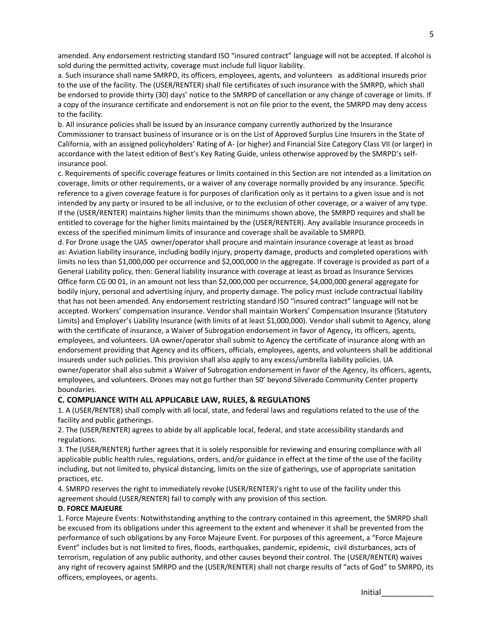amended. Any endorsement restricting standard ISO "insured contract" language will not be accepted. If alcohol is sold during the permitted activity, coverage must include full liquor liability.

a. Such insurance shall name SMRPD, its officers, employees, agents, and volunteers as additional insureds prior to the use of the facility. The (USER/RENTER) shall file certificates of such insurance with the SMRPD, which shall be endorsed to provide thirty (30) days' notice to the SMRPD of cancellation or any change of coverage or limits. If a copy of the insurance certificate and endorsement is not on file prior to the event, the SMRPD may deny access to the facility.

b. All insurance policies shall be issued by an insurance company currently authorized by the Insurance Commissioner to transact business of insurance or is on the List of Approved Surplus Line Insurers in the State of California, with an assigned policyholders' Rating of A- (or higher) and Financial Size Category Class VII (or larger) in accordance with the latest edition of Best's Key Rating Guide, unless otherwise approved by the SMRPD's selfinsurance pool.

c. Requirements of specific coverage features or limits contained in this Section are not intended as a limitation on coverage, limits or other requirements, or a waiver of any coverage normally provided by any insurance. Specific reference to a given coverage feature is for purposes of clarification only as it pertains to a given issue and is not intended by any party or insured to be all inclusive, or to the exclusion of other coverage, or a waiver of any type. If the (USER/RENTER) maintains higher limits than the minimums shown above, the SMRPD requires and shall be entitled to coverage for the higher limits maintained by the (USER/RENTER). Any available insurance proceeds in excess of the specified minimum limits of insurance and coverage shall be available to SMRPD.

d. For Drone usage the UAS owner/operator shall procure and maintain insurance coverage at least as broad as: Aviation liability insurance, including bodily injury, property damage, products and completed operations with limits no less than \$1,000,000 per occurrence and \$2,000,000 in the aggregate. If coverage is provided as part of a General Liability policy, then: General liability insurance with coverage at least as broad as Insurance Services Office form CG 00 01, in an amount not less than \$2,000,000 per occurrence, \$4,000,000 general aggregate for bodily injury, personal and advertising injury, and property damage. The policy must include contractual liability that has not been amended. Any endorsement restricting standard ISO "insured contract" language will not be accepted. Workers' compensation insurance. Vendor shall maintain Workers' Compensation Insurance (Statutory Limits) and Employer's Liability Insurance (with limits of at least \$1,000,000). Vendor shall submit to Agency, along with the certificate of insurance, a Waiver of Subrogation endorsement in favor of Agency, its officers, agents, employees, and volunteers. UA owner/operator shall submit to Agency the certificate of insurance along with an endorsement providing that Agency and its officers, officials, employees, agents, and volunteers shall be additional insureds under such policies. This provision shall also apply to any excess/umbrella liability policies. UA owner/operator shall also submit a Waiver of Subrogation endorsement in favor of the Agency, its officers, agents, employees, and volunteers. Drones may not go further than 50' beyond Silverado Community Center property boundaries.

# **C. COMPLIANCE WITH ALL APPLICABLE LAW, RULES, & REGULATIONS**

1. A (USER/RENTER) shall comply with all local, state, and federal laws and regulations related to the use of the facility and public gatherings.

2. The (USER/RENTER) agrees to abide by all applicable local, federal, and state accessibility standards and regulations.

3. The (USER/RENTER) further agrees that it is solely responsible for reviewing and ensuring compliance with all applicable public health rules, regulations, orders, and/or guidance in effect at the time of the use of the facility including, but not limited to, physical distancing, limits on the size of gatherings, use of appropriate sanitation practices, etc.

4. SMRPD reserves the right to immediately revoke (USER/RENTER)'s right to use of the facility under this agreement should (USER/RENTER) fail to comply with any provision of this section.

#### **D. FORCE MAJEURE**

1. Force Majeure Events: Notwithstanding anything to the contrary contained in this agreement, the SMRPD shall be excused from its obligations under this agreement to the extent and whenever it shall be prevented from the performance of such obligations by any Force Majeure Event. For purposes of this agreement, a "Force Majeure Event" includes but is not limited to fires, floods, earthquakes, pandemic, epidemic, civil disturbances, acts of terrorism, regulation of any public authority, and other causes beyond their control. The (USER/RENTER) waives any right of recovery against SMRPD and the (USER/RENTER) shall not charge results of "acts of God" to SMRPD, its officers, employees, or agents.